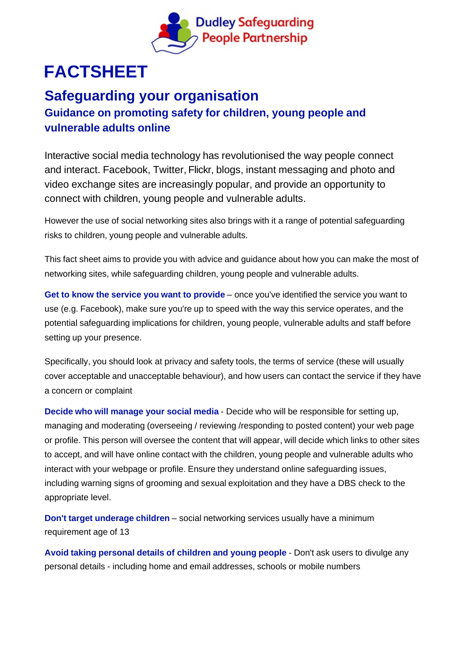

# **FACTSHEET**

## **Safeguarding your organisation**

## **Guidance on promoting safety for children, young people and vulnerable adults online**

Interactive social media technology has revolutionised the way people connect and interact. Facebook, Twitter, Flickr, blogs, instant messaging and photo and video exchange sites are increasingly popular, and provide an opportunity to connect with children, young people and vulnerable adults.

However the use of social networking sites also brings with it a range of potential safeguarding risks to children, young people and vulnerable adults.

This fact sheet aims to provide you with advice and guidance about how you can make the most of networking sites, while safeguarding children, young people and vulnerable adults.

**Get to know the service you want to provide** – once you've identified the service you want to use (e.g. Facebook), make sure you're up to speed with the way this service operates, and the potential safeguarding implications for children, young people, vulnerable adults and staff before setting up your presence.

Specifically, you should look at privacy and safety tools, the terms of service (these will usually cover acceptable and unacceptable behaviour), and how users can contact the service if they have a concern or complaint

**Decide who will manage your social media** - Decide who will be responsible for setting up, managing and moderating (overseeing / reviewing /responding to posted content) your web page or profile. This person will oversee the content that will appear, will decide which links to other sites to accept, and will have online contact with the children, young people and vulnerable adults who interact with your webpage or profile. Ensure they understand online safeguarding issues, including warning signs of grooming and sexual exploitation and they have a DBS check to the appropriate level.

**Don't target underage children** – social networking services usually have a minimum requirement age of 13

**Avoid taking personal details of children and young people** - Don't ask users to divulge any personal details - including home and email addresses, schools or mobile numbers